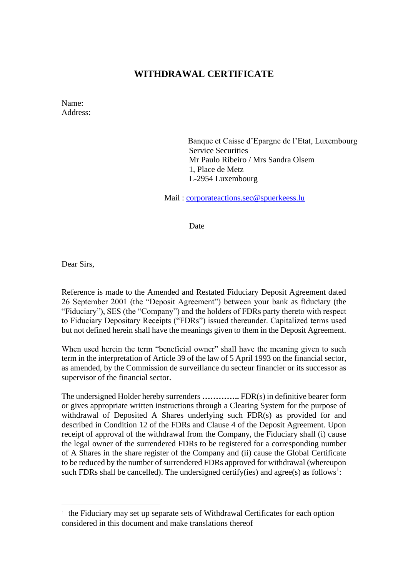## **WITHDRAWAL CERTIFICATE**

Name: Address:

> Banque et Caisse d'Epargne de l'Etat, Luxembourg Service Securities Mr Paulo Ribeiro / Mrs Sandra Olsem 1, Place de Metz L-2954 Luxembourg

Mail : [corporateactions.sec@spuerkeess.lu](mailto:corporateactions.sec@spuerkeess.lu)

Date

Dear Sirs,

Reference is made to the Amended and Restated Fiduciary Deposit Agreement dated 26 September 2001 (the "Deposit Agreement") between your bank as fiduciary (the "Fiduciary"), SES (the "Company") and the holders of FDRs party thereto with respect to Fiduciary Depositary Receipts ("FDRs") issued thereunder. Capitalized terms used but not defined herein shall have the meanings given to them in the Deposit Agreement.

When used herein the term "beneficial owner" shall have the meaning given to such term in the interpretation of Article 39 of the law of 5 April 1993 on the financial sector, as amended, by the Commission de surveillance du secteur financier or its successor as supervisor of the financial sector.

The undersigned Holder hereby surrenders **…………..** FDR(s) in definitive bearer form or gives appropriate written instructions through a Clearing System for the purpose of withdrawal of Deposited A Shares underlying such FDR(s) as provided for and described in Condition 12 of the FDRs and Clause 4 of the Deposit Agreement. Upon receipt of approval of the withdrawal from the Company, the Fiduciary shall (i) cause the legal owner of the surrendered FDRs to be registered for a corresponding number of A Shares in the share register of the Company and (ii) cause the Global Certificate to be reduced by the number of surrendered FDRs approved for withdrawal (whereupon such FDRs shall be cancelled). The undersigned certify(ies) and agree(s) as follows<sup>1</sup>:

<sup>&</sup>lt;sup>1</sup> the Fiduciary may set up separate sets of Withdrawal Certificates for each option considered in this document and make translations thereof